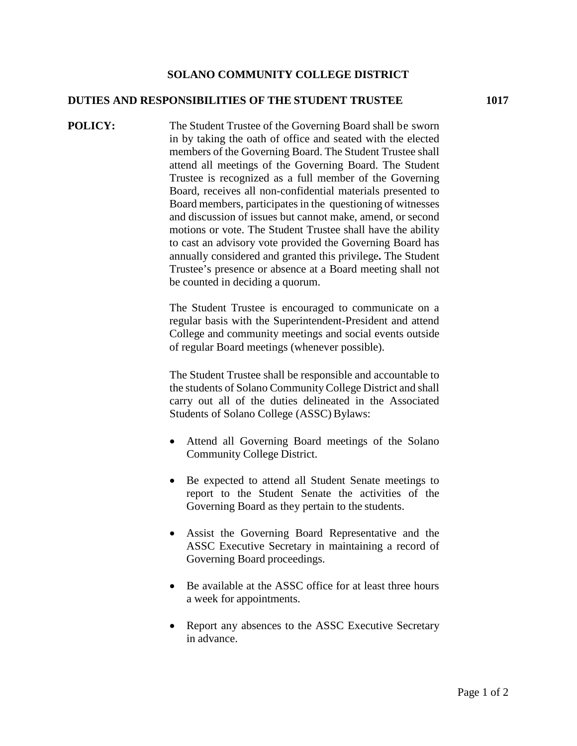## **SOLANO COMMUNITY COLLEGE DISTRICT**

## **DUTIES AND RESPONSIBILITIES OF THE STUDENT TRUSTEE 1017**

**POLICY:** The Student Trustee of the Governing Board shall be sworn in by taking the oath of office and seated with the elected members of the Governing Board. The Student Trustee shall attend all meetings of the Governing Board. The Student Trustee is recognized as a full member of the Governing Board, receives all non-confidential materials presented to Board members, participates in the questioning of witnesses and discussion of issues but cannot make, amend, or second motions or vote. The Student Trustee shall have the ability to cast an advisory vote provided the Governing Board has annually considered and granted this privilege**.** The Student Trustee's presence or absence at a Board meeting shall not be counted in deciding a quorum.

> The Student Trustee is encouraged to communicate on a regular basis with the Superintendent-President and attend College and community meetings and social events outside of regular Board meetings (whenever possible).

> The Student Trustee shall be responsible and accountable to the students of Solano Community College District and shall carry out all of the duties delineated in the Associated Students of Solano College (ASSC) Bylaws:

- Attend all Governing Board meetings of the Solano Community College District.
- Be expected to attend all Student Senate meetings to report to the Student Senate the activities of the Governing Board as they pertain to the students.
- Assist the Governing Board Representative and the ASSC Executive Secretary in maintaining a record of Governing Board proceedings.
- Be available at the ASSC office for at least three hours a week for appointments.
- Report any absences to the ASSC Executive Secretary in advance.